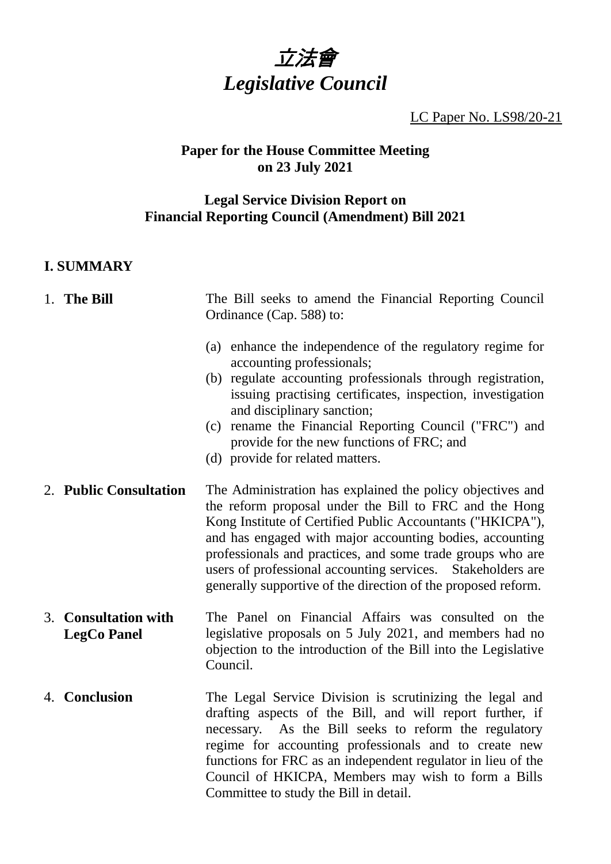

LC Paper No. LS98/20-21

## **Paper for the House Committee Meeting on 23 July 2021**

## **Legal Service Division Report on Financial Reporting Council (Amendment) Bill 2021**

## **I. SUMMARY**

# 1. **The Bill** The Bill seeks to amend the Financial Reporting Council Ordinance (Cap. 588) to:

- (a) enhance the independence of the regulatory regime for accounting professionals;
- (b) regulate accounting professionals through registration, issuing practising certificates, inspection, investigation and disciplinary sanction;
- (c) rename the Financial Reporting Council ("FRC") and provide for the new functions of FRC; and
- (d) provide for related matters.
- 2. **Public Consultation** The Administration has explained the policy objectives and the reform proposal under the Bill to FRC and the Hong Kong Institute of Certified Public Accountants ("HKICPA"), and has engaged with major accounting bodies, accounting professionals and practices, and some trade groups who are users of professional accounting services. Stakeholders are generally supportive of the direction of the proposed reform.
- 3. **Consultation with LegCo Panel** The Panel on Financial Affairs was consulted on the legislative proposals on 5 July 2021, and members had no objection to the introduction of the Bill into the Legislative Council.
- 4. **Conclusion** The Legal Service Division is scrutinizing the legal and drafting aspects of the Bill, and will report further, if necessary. As the Bill seeks to reform the regulatory regime for accounting professionals and to create new functions for FRC as an independent regulator in lieu of the Council of HKICPA, Members may wish to form a Bills Committee to study the Bill in detail.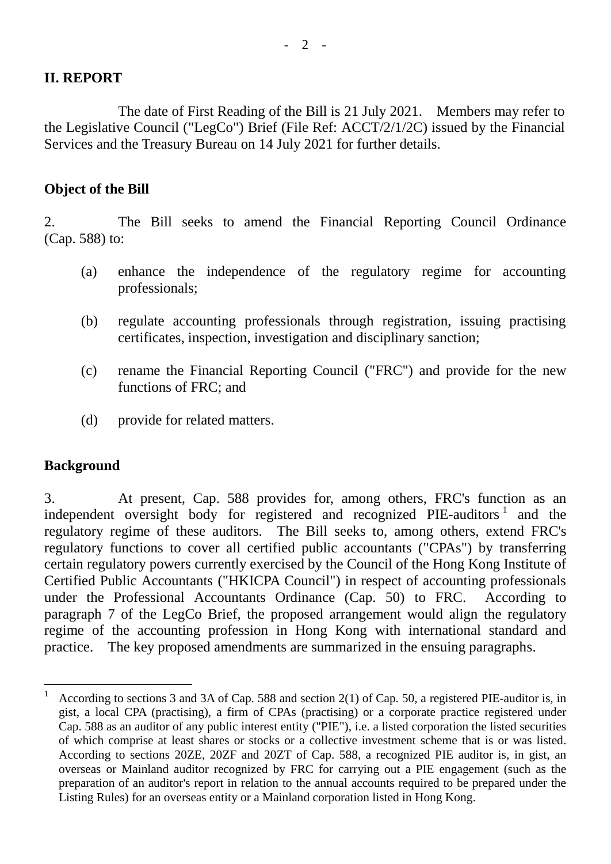## **II. REPORT**

The date of First Reading of the Bill is 21 July 2021. Members may refer to the Legislative Council ("LegCo") Brief (File Ref: ACCT/2/1/2C) issued by the Financial Services and the Treasury Bureau on 14 July 2021 for further details.

## **Object of the Bill**

2. The Bill seeks to amend the Financial Reporting Council Ordinance (Cap. 588) to:

- (a) enhance the independence of the regulatory regime for accounting professionals;
- (b) regulate accounting professionals through registration, issuing practising certificates, inspection, investigation and disciplinary sanction;
- (c) rename the Financial Reporting Council ("FRC") and provide for the new functions of FRC; and
- (d) provide for related matters.

### **Background**

3. At present, Cap. 588 provides for, among others, FRC's function as an independent oversight body for registered and recognized PIE-auditors<sup>1</sup> and the regulatory regime of these auditors. The Bill seeks to, among others, extend FRC's regulatory functions to cover all certified public accountants ("CPAs") by transferring certain regulatory powers currently exercised by the Council of the Hong Kong Institute of Certified Public Accountants ("HKICPA Council") in respect of accounting professionals under the Professional Accountants Ordinance (Cap. 50) to FRC. According to paragraph 7 of the LegCo Brief, the proposed arrangement would align the regulatory regime of the accounting profession in Hong Kong with international standard and practice. The key proposed amendments are summarized in the ensuing paragraphs.

 $\mathbf 1$ According to sections 3 and 3A of Cap. 588 and section 2(1) of Cap. 50, a registered PIE-auditor is, in gist, a local CPA (practising), a firm of CPAs (practising) or a corporate practice registered under Cap. 588 as an auditor of any public interest entity ("PIE"), i.e. a listed corporation the listed securities of which comprise at least shares or stocks or a collective investment scheme that is or was listed. According to sections 20ZE, 20ZF and 20ZT of Cap. 588, a recognized PIE auditor is, in gist, an overseas or Mainland auditor recognized by FRC for carrying out a PIE engagement (such as the preparation of an auditor's report in relation to the annual accounts required to be prepared under the Listing Rules) for an overseas entity or a Mainland corporation listed in Hong Kong.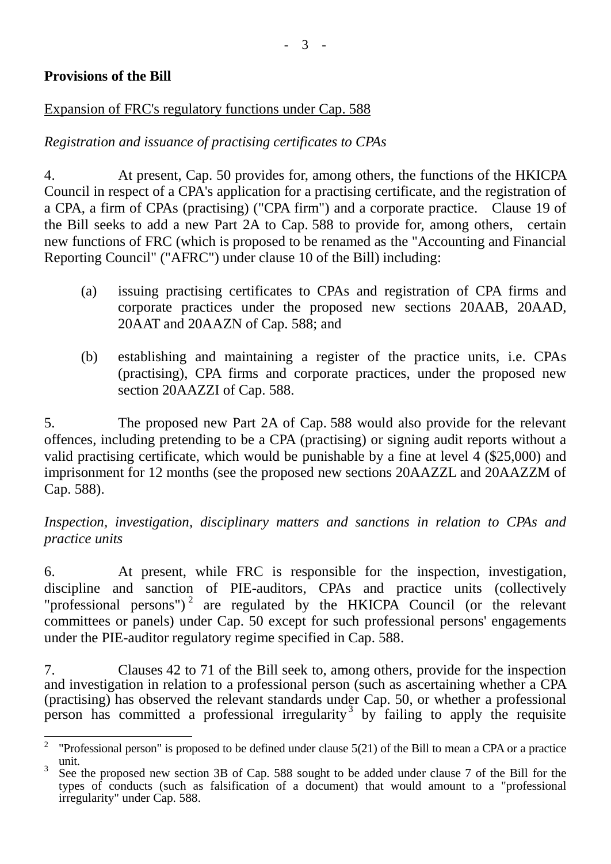## **Provisions of the Bill**

## Expansion of FRC's regulatory functions under Cap. 588

## *Registration and issuance of practising certificates to CPAs*

4. At present, Cap. 50 provides for, among others, the functions of the HKICPA Council in respect of a CPA's application for a practising certificate, and the registration of a CPA, a firm of CPAs (practising) ("CPA firm") and a corporate practice. Clause 19 of the Bill seeks to add a new Part 2A to Cap. 588 to provide for, among others, certain new functions of FRC (which is proposed to be renamed as the "Accounting and Financial Reporting Council" ("AFRC") under clause 10 of the Bill) including:

- (a) issuing practising certificates to CPAs and registration of CPA firms and corporate practices under the proposed new sections 20AAB, 20AAD, 20AAT and 20AAZN of Cap. 588; and
- (b) establishing and maintaining a register of the practice units, i.e. CPAs (practising), CPA firms and corporate practices, under the proposed new section 20AAZZI of Cap. 588.

5. The proposed new Part 2A of Cap. 588 would also provide for the relevant offences, including pretending to be a CPA (practising) or signing audit reports without a valid practising certificate, which would be punishable by a fine at level 4 (\$25,000) and imprisonment for 12 months (see the proposed new sections 20AAZZL and 20AAZZM of Cap. 588).

## *Inspection, investigation, disciplinary matters and sanctions in relation to CPAs and practice units*

6. At present, while FRC is responsible for the inspection, investigation, discipline and sanction of PIE-auditors, CPAs and practice units (collectively "professional persons")<sup>2</sup> are regulated by the HKICPA Council (or the relevant committees or panels) under Cap. 50 except for such professional persons' engagements under the PIE-auditor regulatory regime specified in Cap. 588.

7. Clauses 42 to 71 of the Bill seek to, among others, provide for the inspection and investigation in relation to a professional person (such as ascertaining whether a CPA (practising) has observed the relevant standards under Cap. 50, or whether a professional person has committed a professional irregularity<sup>3</sup> by failing to apply the requisite

 $\frac{1}{2}$ "Professional person" is proposed to be defined under clause 5(21) of the Bill to mean a CPA or a practice unit.

<sup>3</sup> See the proposed new section 3B of Cap. 588 sought to be added under clause 7 of the Bill for the types of conducts (such as falsification of a document) that would amount to a "professional irregularity" under Cap. 588.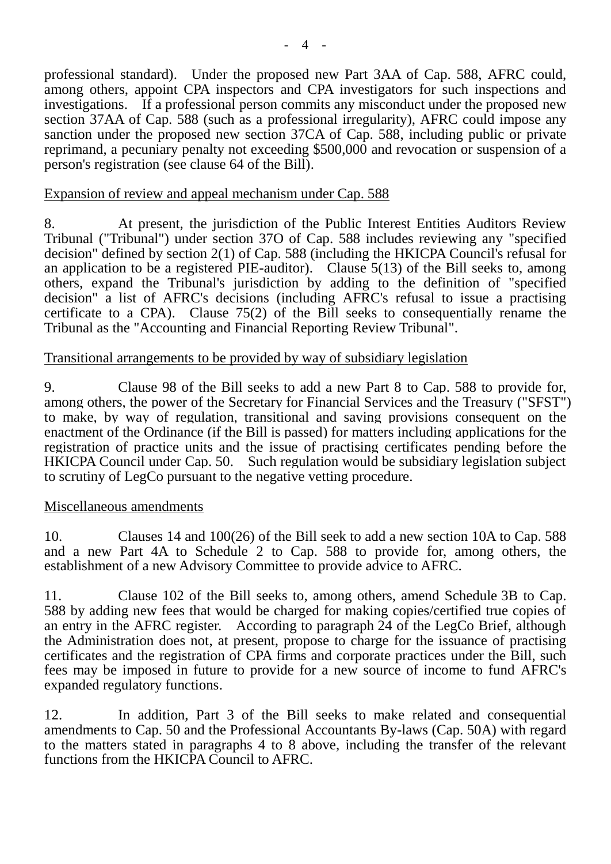professional standard). Under the proposed new Part 3AA of Cap. 588, AFRC could, among others, appoint CPA inspectors and CPA investigators for such inspections and investigations. If a professional person commits any misconduct under the proposed new section 37AA of Cap. 588 (such as a professional irregularity), AFRC could impose any sanction under the proposed new section 37CA of Cap. 588, including public or private reprimand, a pecuniary penalty not exceeding \$500,000 and revocation or suspension of a person's registration (see clause 64 of the Bill).

#### Expansion of review and appeal mechanism under Cap. 588

8. At present, the jurisdiction of the Public Interest Entities Auditors Review Tribunal ("Tribunal") under section 37O of Cap. 588 includes reviewing any "specified decision" defined by section 2(1) of Cap. 588 (including the HKICPA Council's refusal for an application to be a registered PIE-auditor). Clause 5(13) of the Bill seeks to, among others, expand the Tribunal's jurisdiction by adding to the definition of "specified decision" a list of AFRC's decisions (including AFRC's refusal to issue a practising certificate to a CPA). Clause 75(2) of the Bill seeks to consequentially rename the Tribunal as the "Accounting and Financial Reporting Review Tribunal".

#### Transitional arrangements to be provided by way of subsidiary legislation

9. Clause 98 of the Bill seeks to add a new Part 8 to Cap. 588 to provide for, among others, the power of the Secretary for Financial Services and the Treasury ("SFST") to make, by way of regulation, transitional and saving provisions consequent on the enactment of the Ordinance (if the Bill is passed) for matters including applications for the registration of practice units and the issue of practising certificates pending before the HKICPA Council under Cap. 50. Such regulation would be subsidiary legislation subject to scrutiny of LegCo pursuant to the negative vetting procedure.

#### Miscellaneous amendments

10. Clauses 14 and 100(26) of the Bill seek to add a new section 10A to Cap. 588 and a new Part 4A to Schedule 2 to Cap. 588 to provide for, among others, the establishment of a new Advisory Committee to provide advice to AFRC.

11. Clause 102 of the Bill seeks to, among others, amend Schedule 3B to Cap. 588 by adding new fees that would be charged for making copies/certified true copies of an entry in the AFRC register. According to paragraph 24 of the LegCo Brief, although the Administration does not, at present, propose to charge for the issuance of practising certificates and the registration of CPA firms and corporate practices under the Bill, such fees may be imposed in future to provide for a new source of income to fund AFRC's expanded regulatory functions.

12. In addition, Part 3 of the Bill seeks to make related and consequential amendments to Cap. 50 and the Professional Accountants By-laws (Cap. 50A) with regard to the matters stated in paragraphs 4 to 8 above, including the transfer of the relevant functions from the HKICPA Council to AFRC.